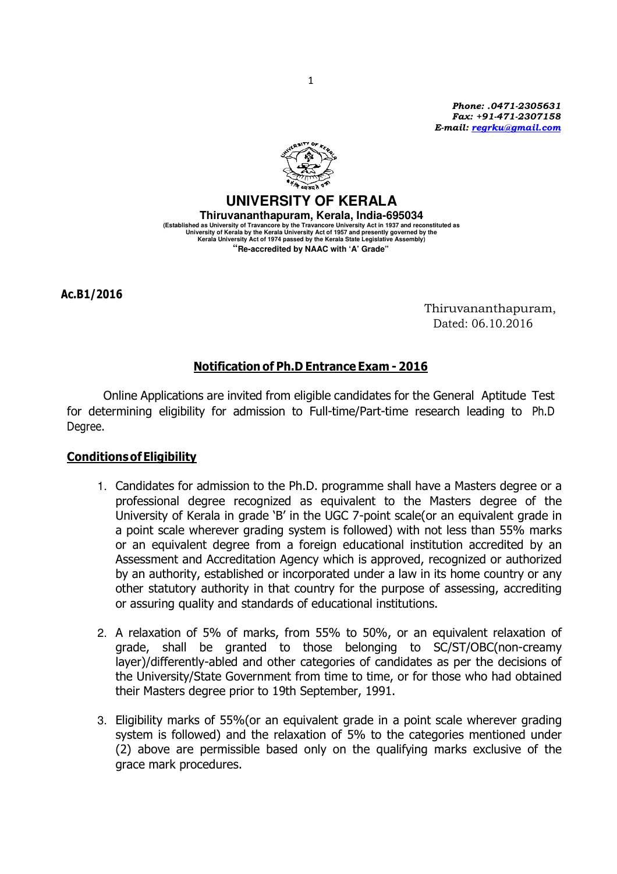Phone: .0471-2305631 Fax: +91-471-2307158 E-mail: regrku@gmail.com



**UNIVERSITY OF KERALA Thiruvananthapuram, Kerala, India-695034**  (Established as University of Travancore by the Travancore University Act in 1937 and reconstituted as)<br>University of Kerala by the Kerala University Act of 1957 and presently governed by the<br>Kerala University Act of 1974 **"Re-accredited by NAAC with 'A' Grade"** 

Ac.B1/2016

Thiruvananthapuram, Dated: 06.10.2016

# Notification of Ph.D Entrance Exam - 2016

Online Applications are invited from eligible candidates for the General Aptitude Test for determining eligibility for admission to Full-time/Part-time research leading to Ph.D Degree.

# Conditions of Eligibility

- 1. Candidates for admission to the Ph.D. programme shall have a Masters degree or a professional degree recognized as equivalent to the Masters degree of the University of Kerala in grade 'B' in the UGC 7-point scale(or an equivalent grade in a point scale wherever grading system is followed) with not less than 55% marks or an equivalent degree from a foreign educational institution accredited by an Assessment and Accreditation Agency which is approved, recognized or authorized by an authority, established or incorporated under a law in its home country or any other statutory authority in that country for the purpose of assessing, accrediting or assuring quality and standards of educational institutions.
- 2. A relaxation of 5% of marks, from 55% to 50%, or an equivalent relaxation of grade, shall be granted to those belonging to SC/ST/OBC(non-creamy layer)/differently-abled and other categories of candidates as per the decisions of the University/State Government from time to time, or for those who had obtained their Masters degree prior to 19th September, 1991.
- 3. Eligibility marks of 55%(or an equivalent grade in a point scale wherever grading system is followed) and the relaxation of 5% to the categories mentioned under (2) above are permissible based only on the qualifying marks exclusive of the grace mark procedures.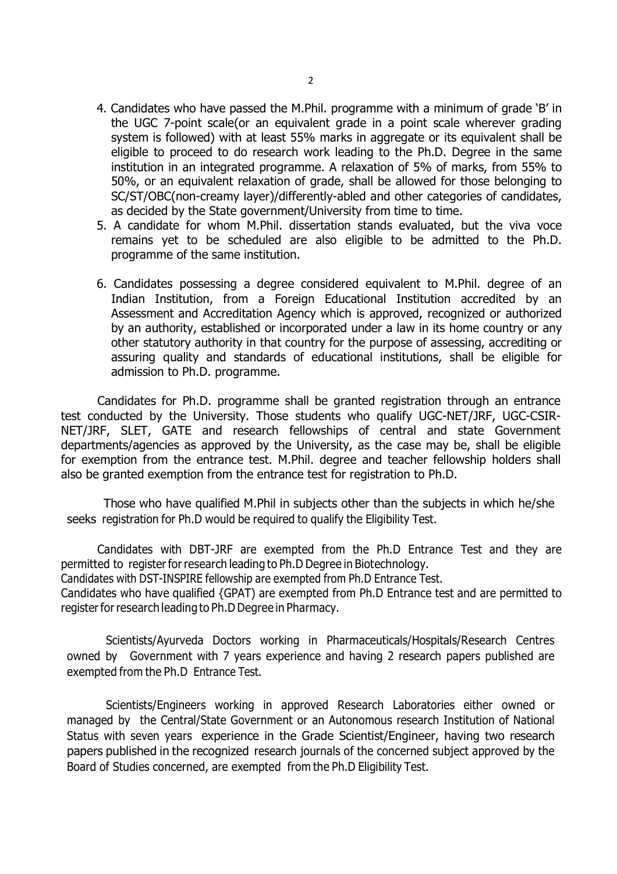- 4. Candidates who have passed the M.Phil. programme with a minimum of grade 'B' in the UGC 7-point scale(or an equivalent grade in a point scale wherever grading system is followed) with at least 55% marks in aggregate or its equivalent shall be eligible to proceed to do research work leading to the Ph.D. Degree in the same institution in an integrated programme. A relaxation of 5% of marks, from 55% to 50%, or an equivalent relaxation of grade, shall be allowed for those belonging to SC/ST/OBC(non-creamy layer)/differently-abled and other categories of candidates, as decided by the State government/University from time to time.
- 5. A candidate for whom M.Phil. dissertation stands evaluated, but the viva voce remains yet to be scheduled are also eligible to be admitted to the Ph.D. programme of the same institution.
- 6. Candidates possessing a degree considered equivalent to M.Phil. degree of an Indian Institution, from a Foreign Educational Institution accredited by an Assessment and Accreditation Agency which is approved, recognized or authorized by an authority, established or incorporated under a law in its home country or any other statutory authority in that country for the purpose of assessing, accrediting or assuring quality and standards of educational institutions, shall be eligible for admission to Ph.D. programme.

 Candidates for Ph.D. programme shall be granted registration through an entrance test conducted by the University. Those students who qualify UGC-NET/JRF, UGC-CSIR-NET/JRF, SLET, GATE and research fellowships of central and state Government departments/agencies as approved by the University, as the case may be, shall be eligible for exemption from the entrance test. M.Phil. degree and teacher fellowship holders shall also be granted exemption from the entrance test for registration to Ph.D.

Those who have qualified M.Phil in subjects other than the subjects in which he/she seeks registration for Ph.D would be required to qualify the Eligibility Test.

 Candidates with DBT-JRF are exempted from the Ph.D Entrance Test and they are permitted to register for research leading to Ph.D Degree in Biotechnology.

Candidates with DST-INSPIRE fellowship are exempted from Ph.D Entrance Test.

Candidates who have qualified {GPAT) are exempted from Ph.D Entrance test and are permitted to register for research leading to Ph.D Degree in Pharmacy.

Scientists/Ayurveda Doctors working in Pharmaceuticals/Hospitals/Research Centres owned by Government with 7 years experience and having 2 research papers published are exempted from the Ph.D Entrance Test.

Scientists/Engineers working in approved Research Laboratories either owned or managed by the Central/State Government or an Autonomous research Institution of National Status with seven years experience in the Grade Scientist/Engineer, having two research papers published in the recognized research journals of the concerned subject approved by the Board of Studies concerned, are exempted from the Ph.D Eligibility Test.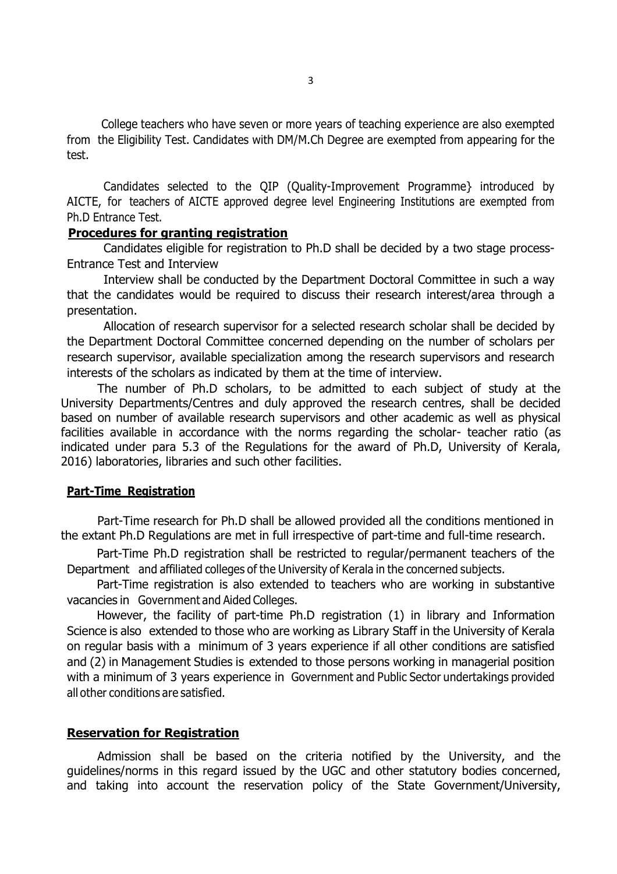College teachers who have seven or more years of teaching experience are also exempted from the Eligibility Test. Candidates with DM/M.Ch Degree are exempted from appearing for the test.

Candidates selected to the QIP (Quality-Improvement Programme} introduced by AICTE, for teachers of AICTE approved degree level Engineering Institutions are exempted from Ph.D Entrance Test.

## Procedures for granting registration

Candidates eligible for registration to Ph.D shall be decided by a two stage process-Entrance Test and Interview

Interview shall be conducted by the Department Doctoral Committee in such a way that the candidates would be required to discuss their research interest/area through a presentation.

Allocation of research supervisor for a selected research scholar shall be decided by the Department Doctoral Committee concerned depending on the number of scholars per research supervisor, available specialization among the research supervisors and research interests of the scholars as indicated by them at the time of interview.

 The number of Ph.D scholars, to be admitted to each subject of study at the University Departments/Centres and duly approved the research centres, shall be decided based on number of available research supervisors and other academic as well as physical facilities available in accordance with the norms regarding the scholar- teacher ratio (as indicated under para 5.3 of the Regulations for the award of Ph.D, University of Kerala, 2016) laboratories, libraries and such other facilities.

### Part-Time Registration

 Part-Time research for Ph.D shall be allowed provided all the conditions mentioned in the extant Ph.D Regulations are met in full irrespective of part-time and full-time research.

Part-Time Ph.D registration shall be restricted to regular/permanent teachers of the Department and affiliated colleges of the University of Kerala in the concerned subjects.

Part-Time registration is also extended to teachers who are working in substantive vacancies in Government and Aided Colleges.

However, the facility of part-time Ph.D registration (1) in library and Information Science is also extended to those who are working as Library Staff in the University of Kerala on regular basis with a minimum of 3 years experience if all other conditions are satisfied and (2) in Management Studies is extended to those persons working in managerial position with a minimum of 3 years experience in Government and Public Sector undertakings provided all other conditions are satisfied.

## Reservation for Registration

 Admission shall be based on the criteria notified by the University, and the guidelines/norms in this regard issued by the UGC and other statutory bodies concerned, and taking into account the reservation policy of the State Government/University,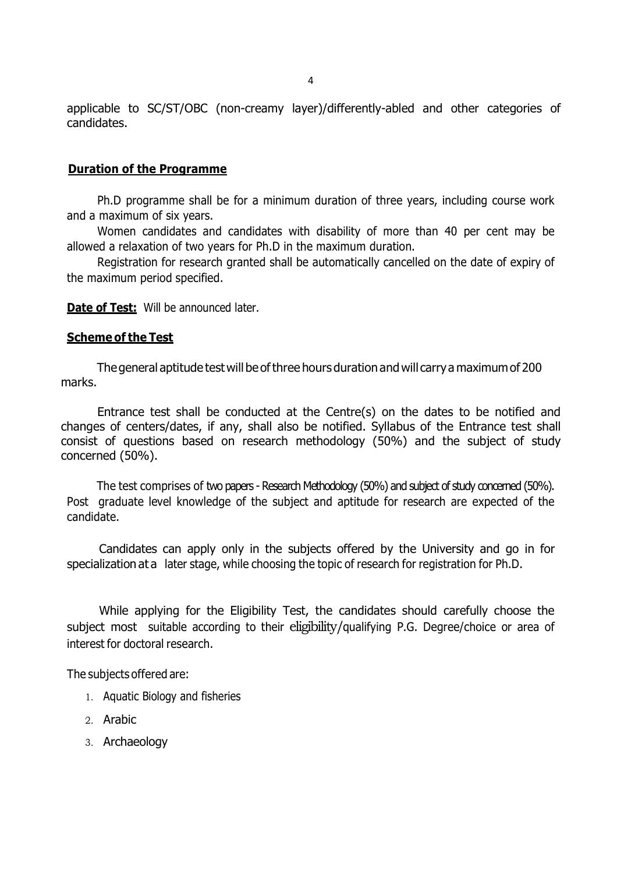applicable to SC/ST/OBC (non-creamy layer)/differently-abled and other categories of candidates.

#### Duration of the Programme

 Ph.D programme shall be for a minimum duration of three years, including course work and a maximum of six years.

 Women candidates and candidates with disability of more than 40 per cent may be allowed a relaxation of two years for Ph.D in the maximum duration.

 Registration for research granted shall be automatically cancelled on the date of expiry of the maximum period specified.

Date of Test: Will be announced later.

#### Scheme of the Test

The general aptitude test will be of three hours duration and will carry a maximum of 200 marks.

 Entrance test shall be conducted at the Centre(s) on the dates to be notified and changes of centers/dates, if any, shall also be notified. Syllabus of the Entrance test shall consist of questions based on research methodology (50%) and the subject of study concerned (50%).

The test comprises of two papers - Research Methodology (50%) and subject of study concerned (50%). Post graduate level knowledge of the subject and aptitude for research are expected of the candidate.

Candidates can apply only in the subjects offered by the University and go in for specialization at a later stage, while choosing the topic of research for registration for Ph.D.

While applying for the Eligibility Test, the candidates should carefully choose the subject most suitable according to their eligibility/qualifying P.G. Degree/choice or area of interest for doctoral research.

The subjects offered are:

- 1. Aquatic Biology and fisheries
- 2. Arabic
- 3. Archaeology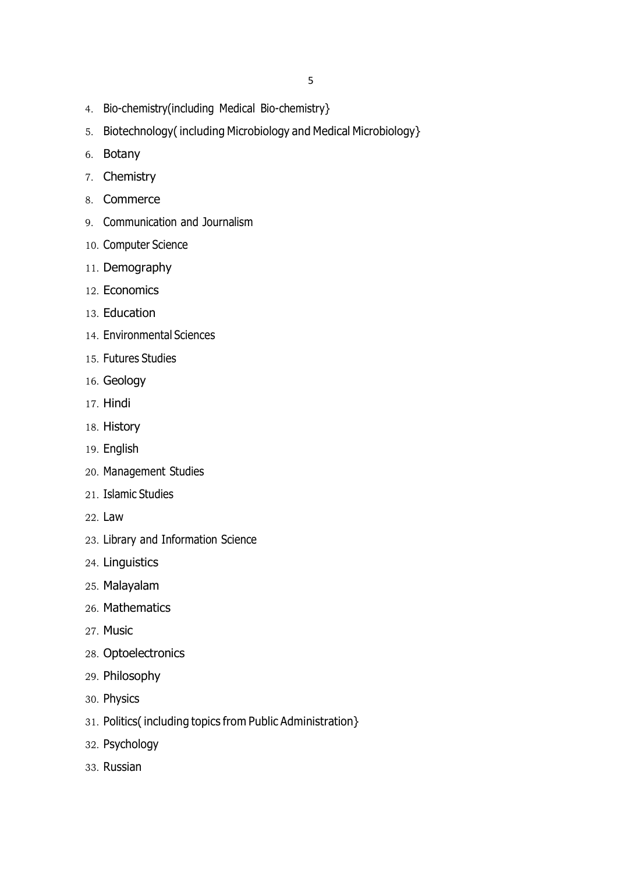- 4. Bio-chemistry(including Medical Bio-chemistry}
- 5. Biotechnology( including Microbiology and Medical Microbiology}
- 6. Botany
- 7. Chemistry
- 8. Commerce
- 9. Communication and Journalism
- 10. Computer Science
- 11. Demography
- 12. Economics
- 13. Education
- 14. Environmental Sciences
- 15. Futures Studies
- 16. Geology
- 17. Hindi
- 18. History
- 19. English
- 20. Management Studies
- 21. Islamic Studies
- 22. Law
- 23. Library and Information Science
- 24. Linguistics
- 25. Malayalam
- 26. Mathematics
- 27. Music
- 28. Optoelectronics
- 29. Philosophy
- 30. Physics
- 31. Politics( including topics from Public Administration}
- 32. Psychology
- 33. Russian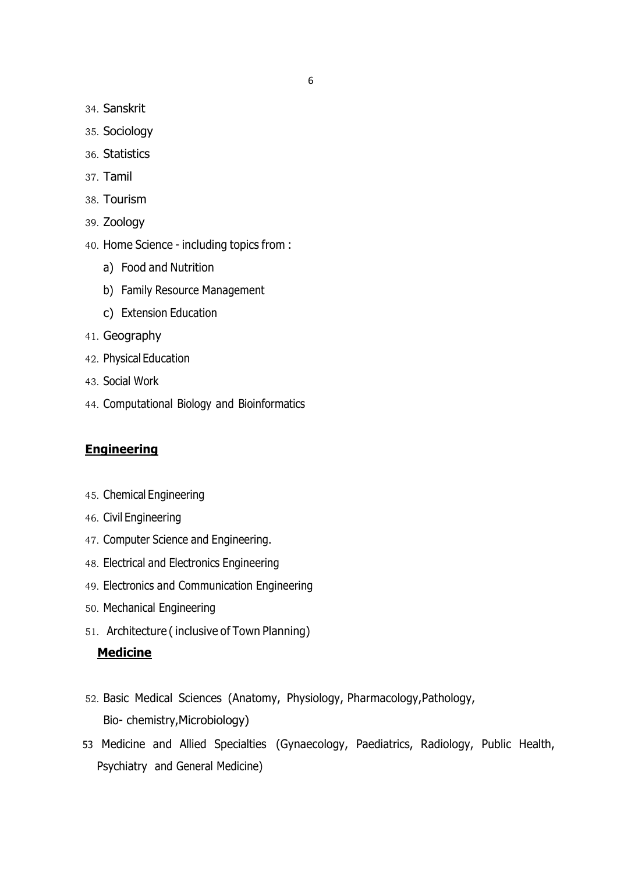- 34. Sanskrit
- 35. Sociology
- 36. Statistics
- 37. Tamil
- 38. Tourism
- 39. Zoology
- 40. Home Science including topics from :
	- a) Food and Nutrition
	- b) Family Resource Management
	- c) Extension Education
- 41. Geography
- 42. Physical Education
- 43. Social Work
- 44. Computational Biology and Bioinformatics

## **Engineering**

- 45. Chemical Engineering
- 46. Civil Engineering
- 47. Computer Science and Engineering.
- 48. Electrical and Electronics Engineering
- 49. Electronics and Communication Engineering
- 50. Mechanical Engineering
- 51. Architecture ( inclusive of Town Planning)

# **Medicine**

- 52. Basic Medical Sciences (Anatomy, Physiology, Pharmacology,Pathology, Bio- chemistry,Microbiology)
- 53 Medicine and Allied Specialties (Gynaecology, Paediatrics, Radiology, Public Health, Psychiatry and General Medicine)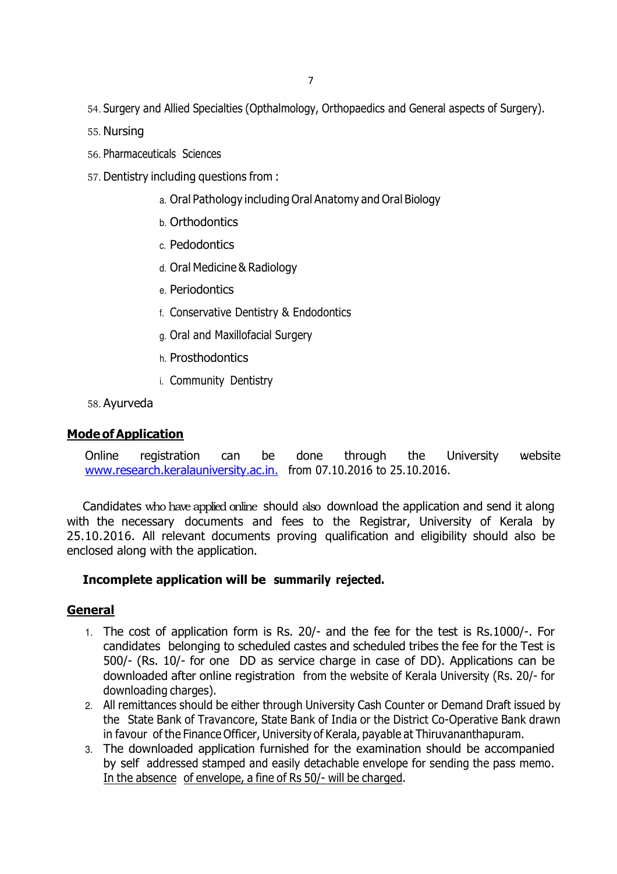- 54. Surgery and Allied Specialties (Opthalmology, Orthopaedics and General aspects of Surgery).
- 55. Nursing
- 56. Pharmaceuticals Sciences
- 57. Dentistry including questions from :
	- a. Oral Pathology including Oral Anatomy and Oral Biology
	- b. Orthodontics
	- c. Pedodontics
	- d. Oral Medicine & Radiology
	- e. Periodontics
	- f. Conservative Dentistry & Endodontics
	- g. Oral and Maxillofacial Surgery
	- h. Prosthodontics
	- i. Community Dentistry

58. Ayurveda

#### Mode of Application

Online registration can be done through the University website www.research.keralauniversity.ac.in. from 07.10.2016 to 25.10.2016.

Candidates who have applied online should also download the application and send it along with the necessary documents and fees to the Registrar, University of Kerala by 25.10.2016. All relevant documents proving qualification and eligibility should also be enclosed along with the application.

### Incomplete application will be summarily rejected.

### General

- 1. The cost of application form is Rs. 20/- and the fee for the test is Rs.1000/-. For candidates belonging to scheduled castes and scheduled tribes the fee for the Test is 500/- (Rs. 10/- for one DD as service charge in case of DD). Applications can be downloaded after online registration from the website of Kerala University (Rs. 20/- for downloading charges).
- 2. All remittances should be either through University Cash Counter or Demand Draft issued by the State Bank of Travancore, State Bank of India or the District Co-Operative Bank drawn in favour of the Finance Officer, University of Kerala, payable at Thiruvananthapuram.
- 3. The downloaded application furnished for the examination should be accompanied by self addressed stamped and easily detachable envelope for sending the pass memo. In the absence of envelope, a fine of Rs 50/- will be charged.